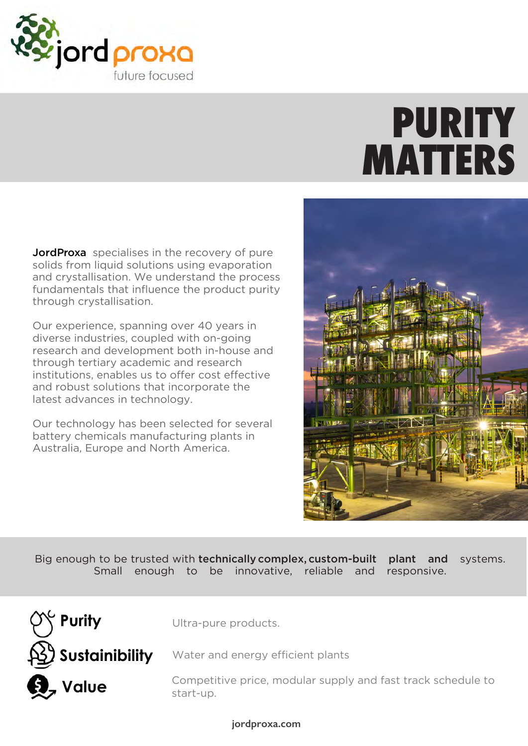

# **PURITY MATTERS**

**JordProxa** specialises in the recovery of pure solids from liquid solutions using evaporation and crystallisation. We understand the process fundamentals that influence the product purity through crystallisation.

Our experience, spanning over 40 years in diverse industries, coupled with on-going research and development both in-house and through tertiary academic and research institutions, enables us to offer cost effective and robust solutions that incorporate the latest advances in technology.

Our technology has been selected for several battery chemicals manufacturing plants in Australia, Europe and North America.



Big enough to be trusted with **technically complex, custom-built plant and** systems. Small enough to be innovative, reliable and responsive.



Ultra-pure products.

Water and energy efficient plants

Competitive price, modular supply and fast track schedule to start-up.

**jordproxa.com**